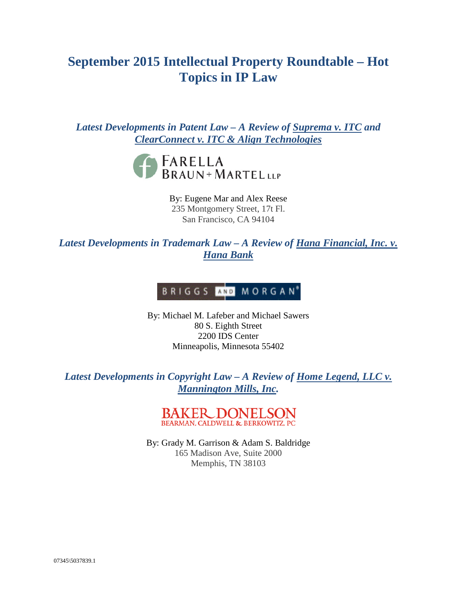# **September 2015 Intellectual Property Roundtable – Hot Topics in IP Law**

*Latest Developments in Patent Law – A Review of Suprema v. ITC and ClearConnect v. ITC & Align Technologies*



By: Eugene Mar and Alex Reese 235 Montgomery Street, 17t Fl. San Francisco, CA 94104

*Latest Developments in Trademark Law – A Review of Hana Financial, Inc. v. Hana Bank*

# BRIGGS AND MORGAN<sup>®</sup>

By: Michael M. Lafeber and Michael Sawers 80 S. Eighth Street 2200 IDS Center Minneapolis, Minnesota 55402

*Latest Developments in Copyright Law – A Review of Home Legend, LLC v. Mannington Mills, Inc.*

> **BAKER DONEI** BEARMAN, CALDWELL & BERKOWITZ, PC

By: Grady M. Garrison & Adam S. Baldridge 165 Madison Ave, Suite 2000 Memphis, TN 38103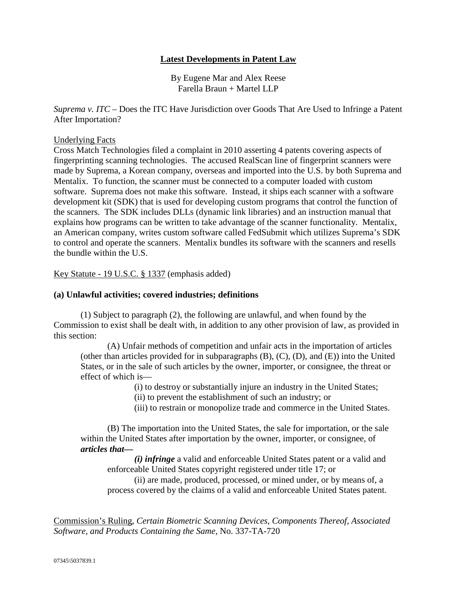# **Latest Developments in Patent Law**

By Eugene Mar and Alex Reese Farella Braun + Martel LLP

*Suprema v. ITC* – Does the ITC Have Jurisdiction over Goods That Are Used to Infringe a Patent After Importation?

#### Underlying Facts

Cross Match Technologies filed a complaint in 2010 asserting 4 patents covering aspects of fingerprinting scanning technologies. The accused RealScan line of fingerprint scanners were made by Suprema, a Korean company, overseas and imported into the U.S. by both Suprema and Mentalix. To function, the scanner must be connected to a computer loaded with custom software. Suprema does not make this software. Instead, it ships each scanner with a software development kit (SDK) that is used for developing custom programs that control the function of the scanners. The SDK includes DLLs (dynamic link libraries) and an instruction manual that explains how programs can be written to take advantage of the scanner functionality. Mentalix, an American company, writes custom software called FedSubmit which utilizes Suprema's SDK to control and operate the scanners. Mentalix bundles its software with the scanners and resells the bundle within the U.S.

Key Statute - 19 U.S.C. § 1337 (emphasis added)

#### **(a) Unlawful activities; covered industries; definitions**

(1) Subject to paragraph (2), the following are unlawful, and when found by the Commission to exist shall be dealt with, in addition to any other provision of law, as provided in this section:

(A) Unfair methods of competition and unfair acts in the importation of articles (other than articles provided for in subparagraphs (B), (C), (D), and (E)) into the United States, or in the sale of such articles by the owner, importer, or consignee, the threat or effect of which is—

(i) to destroy or substantially injure an industry in the United States;

(ii) to prevent the establishment of such an industry; or

(iii) to restrain or monopolize trade and commerce in the United States.

(B) The importation into the United States, the sale for importation, or the sale within the United States after importation by the owner, importer, or consignee, of *articles that—*

*(i) infringe* a valid and enforceable United States patent or a valid and enforceable United States copyright registered under title 17; or

(ii) are made, produced, processed, or mined under, or by means of, a process covered by the claims of a valid and enforceable United States patent.

Commission's Ruling, *Certain Biometric Scanning Devices, Components Thereof, Associated Software, and Products Containing the Same*, No. 337-TA-720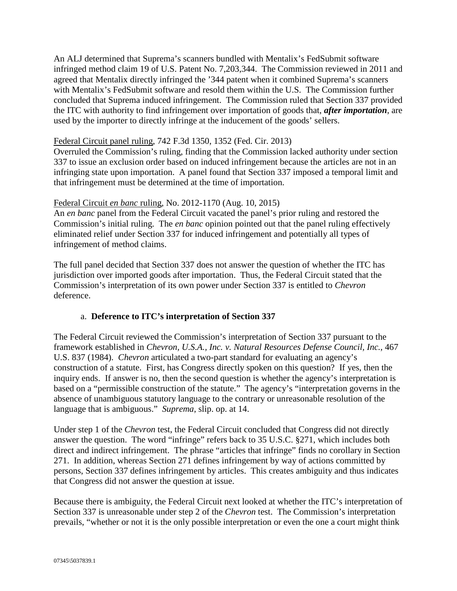An ALJ determined that Suprema's scanners bundled with Mentalix's FedSubmit software infringed method claim 19 of U.S. Patent No. 7,203,344. The Commission reviewed in 2011 and agreed that Mentalix directly infringed the '344 patent when it combined Suprema's scanners with Mentalix's FedSubmit software and resold them within the U.S. The Commission further concluded that Suprema induced infringement. The Commission ruled that Section 337 provided the ITC with authority to find infringement over importation of goods that, *after importation*, are used by the importer to directly infringe at the inducement of the goods' sellers.

# Federal Circuit panel ruling, 742 F.3d 1350, 1352 (Fed. Cir. 2013)

Overruled the Commission's ruling, finding that the Commission lacked authority under section 337 to issue an exclusion order based on induced infringement because the articles are not in an infringing state upon importation. A panel found that Section 337 imposed a temporal limit and that infringement must be determined at the time of importation.

# Federal Circuit *en banc* ruling, No. 2012-1170 (Aug. 10, 2015)

An *en banc* panel from the Federal Circuit vacated the panel's prior ruling and restored the Commission's initial ruling. The *en banc* opinion pointed out that the panel ruling effectively eliminated relief under Section 337 for induced infringement and potentially all types of infringement of method claims.

The full panel decided that Section 337 does not answer the question of whether the ITC has jurisdiction over imported goods after importation. Thus, the Federal Circuit stated that the Commission's interpretation of its own power under Section 337 is entitled to *Chevron* deference.

# a. **Deference to ITC's interpretation of Section 337**

The Federal Circuit reviewed the Commission's interpretation of Section 337 pursuant to the framework established in *Chevron, U.S.A., Inc. v. Natural Resources Defense Council, Inc.*, 467 U.S. 837 (1984). *Chevron* articulated a two-part standard for evaluating an agency's construction of a statute. First, has Congress directly spoken on this question? If yes, then the inquiry ends. If answer is no, then the second question is whether the agency's interpretation is based on a "permissible construction of the statute." The agency's "interpretation governs in the absence of unambiguous statutory language to the contrary or unreasonable resolution of the language that is ambiguous." *Suprema*, slip. op. at 14.

Under step 1 of the *Chevron* test, the Federal Circuit concluded that Congress did not directly answer the question. The word "infringe" refers back to 35 U.S.C. §271, which includes both direct and indirect infringement. The phrase "articles that infringe" finds no corollary in Section 271. In addition, whereas Section 271 defines infringement by way of actions committed by persons, Section 337 defines infringement by articles. This creates ambiguity and thus indicates that Congress did not answer the question at issue.

Because there is ambiguity, the Federal Circuit next looked at whether the ITC's interpretation of Section 337 is unreasonable under step 2 of the *Chevron* test. The Commission's interpretation prevails, "whether or not it is the only possible interpretation or even the one a court might think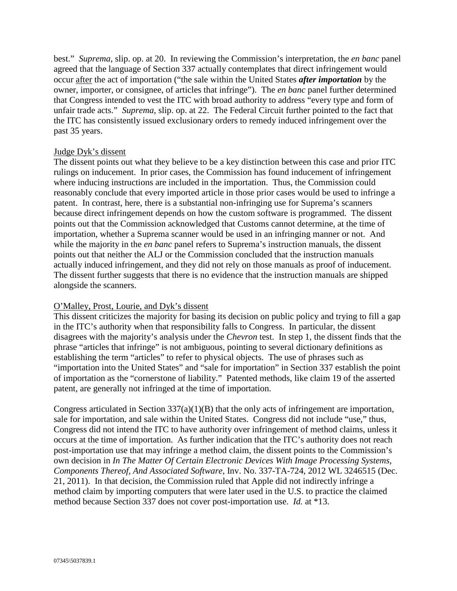best." *Suprema*, slip. op. at 20. In reviewing the Commission's interpretation, the *en banc* panel agreed that the language of Section 337 actually contemplates that direct infringement would occur after the act of importation ("the sale within the United States *after importation* by the owner, importer, or consignee, of articles that infringe"). The *en banc* panel further determined that Congress intended to vest the ITC with broad authority to address "every type and form of unfair trade acts." *Suprema*, slip. op. at 22. The Federal Circuit further pointed to the fact that the ITC has consistently issued exclusionary orders to remedy induced infringement over the past 35 years.

#### Judge Dyk's dissent

The dissent points out what they believe to be a key distinction between this case and prior ITC rulings on inducement. In prior cases, the Commission has found inducement of infringement where inducing instructions are included in the importation. Thus, the Commission could reasonably conclude that every imported article in those prior cases would be used to infringe a patent. In contrast, here, there is a substantial non-infringing use for Suprema's scanners because direct infringement depends on how the custom software is programmed. The dissent points out that the Commission acknowledged that Customs cannot determine, at the time of importation, whether a Suprema scanner would be used in an infringing manner or not. And while the majority in the *en banc* panel refers to Suprema's instruction manuals, the dissent points out that neither the ALJ or the Commission concluded that the instruction manuals actually induced infringement, and they did not rely on those manuals as proof of inducement. The dissent further suggests that there is no evidence that the instruction manuals are shipped alongside the scanners.

#### O'Malley, Prost, Lourie, and Dyk's dissent

This dissent criticizes the majority for basing its decision on public policy and trying to fill a gap in the ITC's authority when that responsibility falls to Congress. In particular, the dissent disagrees with the majority's analysis under the *Chevron* test. In step 1, the dissent finds that the phrase "articles that infringe" is not ambiguous, pointing to several dictionary definitions as establishing the term "articles" to refer to physical objects. The use of phrases such as "importation into the United States" and "sale for importation" in Section 337 establish the point of importation as the "cornerstone of liability." Patented methods, like claim 19 of the asserted patent, are generally not infringed at the time of importation.

Congress articulated in Section  $337(a)(1)(B)$  that the only acts of infringement are importation, sale for importation, and sale within the United States. Congress did not include "use," thus, Congress did not intend the ITC to have authority over infringement of method claims, unless it occurs at the time of importation. As further indication that the ITC's authority does not reach post-importation use that may infringe a method claim, the dissent points to the Commission's own decision in *In The Matter Of Certain Electronic Devices With Image Processing Systems, Components Thereof, And Associated Software*, Inv. No. 337-TA-724, 2012 WL 3246515 (Dec. 21, 2011). In that decision, the Commission ruled that Apple did not indirectly infringe a method claim by importing computers that were later used in the U.S. to practice the claimed method because Section 337 does not cover post-importation use. *Id.* at \*13.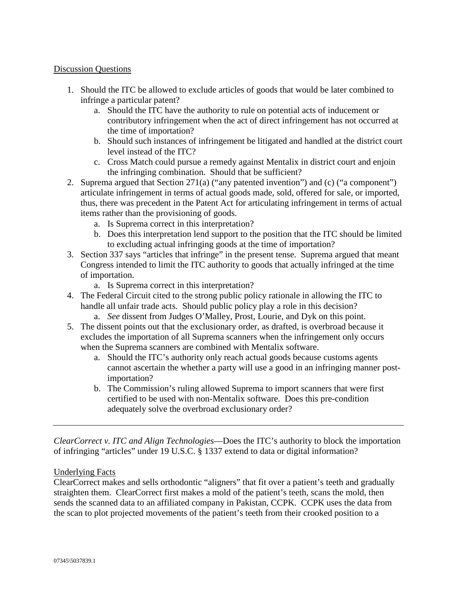#### Discussion Questions

- 1. Should the ITC be allowed to exclude articles of goods that would be later combined to infringe a particular patent?
	- a. Should the ITC have the authority to rule on potential acts of inducement or contributory infringement when the act of direct infringement has not occurred at the time of importation?
	- b. Should such instances of infringement be litigated and handled at the district court level instead of the ITC?
	- c. Cross Match could pursue a remedy against Mentalix in district court and enjoin the infringing combination. Should that be sufficient?
- 2. Suprema argued that Section 271(a) ("any patented invention") and (c) ("a component") articulate infringement in terms of actual goods made, sold, offered for sale, or imported, thus, there was precedent in the Patent Act for articulating infringement in terms of actual items rather than the provisioning of goods.
	- a. Is Suprema correct in this interpretation?
	- b. Does this interpretation lend support to the position that the ITC should be limited to excluding actual infringing goods at the time of importation?
- 3. Section 337 says "articles that infringe" in the present tense. Suprema argued that meant Congress intended to limit the ITC authority to goods that actually infringed at the time of importation.
	- a. Is Suprema correct in this interpretation?
- 4. The Federal Circuit cited to the strong public policy rationale in allowing the ITC to handle all unfair trade acts. Should public policy play a role in this decision?
	- a. *See* dissent from Judges O'Malley, Prost, Lourie, and Dyk on this point.
- 5. The dissent points out that the exclusionary order, as drafted, is overbroad because it excludes the importation of all Suprema scanners when the infringement only occurs when the Suprema scanners are combined with Mentalix software.
	- a. Should the ITC's authority only reach actual goods because customs agents cannot ascertain the whether a party will use a good in an infringing manner postimportation?
	- b. The Commission's ruling allowed Suprema to import scanners that were first certified to be used with non-Mentalix software. Does this pre-condition adequately solve the overbroad exclusionary order?

*ClearCorrect v. ITC and Align Technologies*—Does the ITC's authority to block the importation of infringing "articles" under 19 U.S.C. § 1337 extend to data or digital information?

#### Underlying Facts

ClearCorrect makes and sells orthodontic "aligners" that fit over a patient's teeth and gradually straighten them. ClearCorrect first makes a mold of the patient's teeth, scans the mold, then sends the scanned data to an affiliated company in Pakistan, CCPK. CCPK uses the data from the scan to plot projected movements of the patient's teeth from their crooked position to a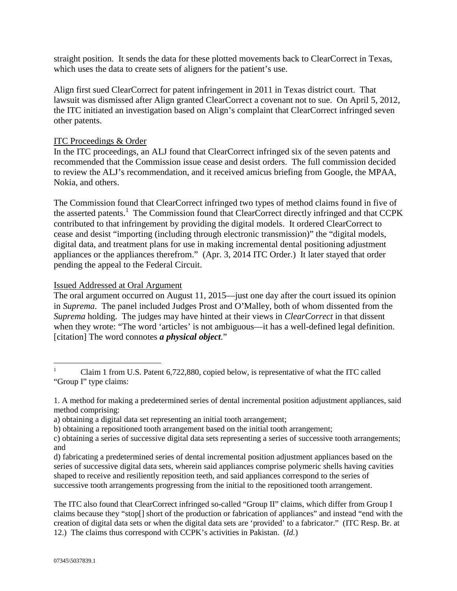straight position. It sends the data for these plotted movements back to ClearCorrect in Texas, which uses the data to create sets of aligners for the patient's use.

Align first sued ClearCorrect for patent infringement in 2011 in Texas district court. That lawsuit was dismissed after Align granted ClearCorrect a covenant not to sue. On April 5, 2012, the ITC initiated an investigation based on Align's complaint that ClearCorrect infringed seven other patents.

# ITC Proceedings & Order

In the ITC proceedings, an ALJ found that ClearCorrect infringed six of the seven patents and recommended that the Commission issue cease and desist orders. The full commission decided to review the ALJ's recommendation, and it received amicus briefing from Google, the MPAA, Nokia, and others.

The Commission found that ClearCorrect infringed two types of method claims found in five of the asserted patents.<sup>1</sup> The Commission found that ClearCorrect directly infringed and that CCPK contributed to that infringement by providing the digital models. It ordered ClearCorrect to cease and desist "importing (including through electronic transmission)" the "digital models, digital data, and treatment plans for use in making incremental dental positioning adjustment appliances or the appliances therefrom." (Apr. 3, 2014 ITC Order.) It later stayed that order pending the appeal to the Federal Circuit.

# Issued Addressed at Oral Argument

The oral argument occurred on August 11, 2015—just one day after the court issued its opinion in *Suprema*. The panel included Judges Prost and O'Malley, both of whom dissented from the *Suprema* holding. The judges may have hinted at their views in *ClearCorrect* in that dissent when they wrote: "The word 'articles' is not ambiguous—it has a well-defined legal definition. [citation] The word connotes *a physical object*."

The ITC also found that ClearCorrect infringed so-called "Group II" claims, which differ from Group I claims because they "stop[] short of the production or fabrication of appliances" and instead "end with the creation of digital data sets or when the digital data sets are 'provided' to a fabricator." (ITC Resp. Br. at 12.) The claims thus correspond with CCPK's activities in Pakistan. (*Id.*)

<sup>1</sup> Claim 1 from U.S. Patent 6,722,880, copied below, is representative of what the ITC called "Group I" type claims:

<sup>1.</sup> A method for making a predetermined series of dental incremental position adjustment appliances, said method comprising:

a) obtaining a digital data set representing an initial tooth arrangement;

b) obtaining a repositioned tooth arrangement based on the initial tooth arrangement;

c) obtaining a series of successive digital data sets representing a series of successive tooth arrangements; and

d) fabricating a predetermined series of dental incremental position adjustment appliances based on the series of successive digital data sets, wherein said appliances comprise polymeric shells having cavities shaped to receive and resiliently reposition teeth, and said appliances correspond to the series of successive tooth arrangements progressing from the initial to the repositioned tooth arrangement.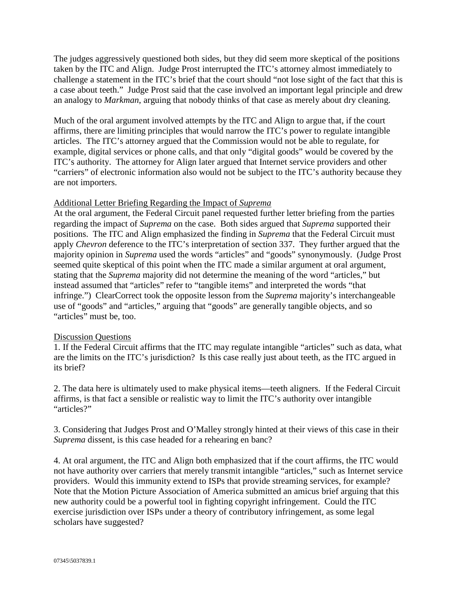The judges aggressively questioned both sides, but they did seem more skeptical of the positions taken by the ITC and Align. Judge Prost interrupted the ITC's attorney almost immediately to challenge a statement in the ITC's brief that the court should "not lose sight of the fact that this is a case about teeth." Judge Prost said that the case involved an important legal principle and drew an analogy to *Markman*, arguing that nobody thinks of that case as merely about dry cleaning.

Much of the oral argument involved attempts by the ITC and Align to argue that, if the court affirms, there are limiting principles that would narrow the ITC's power to regulate intangible articles. The ITC's attorney argued that the Commission would not be able to regulate, for example, digital services or phone calls, and that only "digital goods" would be covered by the ITC's authority. The attorney for Align later argued that Internet service providers and other "carriers" of electronic information also would not be subject to the ITC's authority because they are not importers.

#### Additional Letter Briefing Regarding the Impact of *Suprema*

At the oral argument, the Federal Circuit panel requested further letter briefing from the parties regarding the impact of *Suprema* on the case. Both sides argued that *Suprema* supported their positions. The ITC and Align emphasized the finding in *Suprema* that the Federal Circuit must apply *Chevron* deference to the ITC's interpretation of section 337. They further argued that the majority opinion in *Suprema* used the words "articles" and "goods" synonymously. (Judge Prost seemed quite skeptical of this point when the ITC made a similar argument at oral argument, stating that the *Suprema* majority did not determine the meaning of the word "articles," but instead assumed that "articles" refer to "tangible items" and interpreted the words "that infringe.") ClearCorrect took the opposite lesson from the *Suprema* majority's interchangeable use of "goods" and "articles," arguing that "goods" are generally tangible objects, and so "articles" must be, too.

#### Discussion Questions

1. If the Federal Circuit affirms that the ITC may regulate intangible "articles" such as data, what are the limits on the ITC's jurisdiction? Is this case really just about teeth, as the ITC argued in its brief?

2. The data here is ultimately used to make physical items—teeth aligners. If the Federal Circuit affirms, is that fact a sensible or realistic way to limit the ITC's authority over intangible "articles?"

3. Considering that Judges Prost and O'Malley strongly hinted at their views of this case in their *Suprema* dissent, is this case headed for a rehearing en banc?

4. At oral argument, the ITC and Align both emphasized that if the court affirms, the ITC would not have authority over carriers that merely transmit intangible "articles," such as Internet service providers. Would this immunity extend to ISPs that provide streaming services, for example? Note that the Motion Picture Association of America submitted an amicus brief arguing that this new authority could be a powerful tool in fighting copyright infringement. Could the ITC exercise jurisdiction over ISPs under a theory of contributory infringement, as some legal scholars have suggested?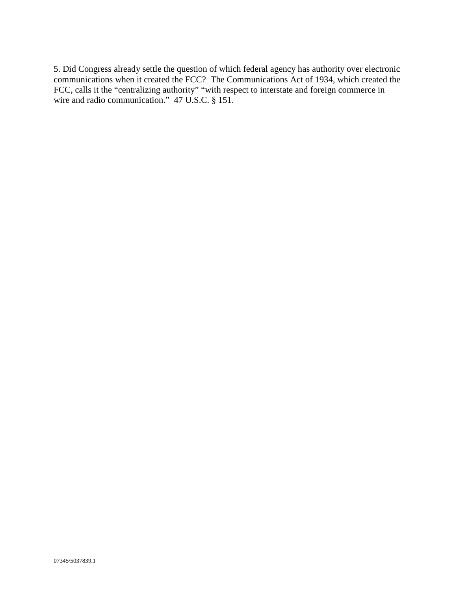5. Did Congress already settle the question of which federal agency has authority over electronic communications when it created the FCC? The Communications Act of 1934, which created the FCC, calls it the "centralizing authority" "with respect to interstate and foreign commerce in wire and radio communication." 47 U.S.C. § 151.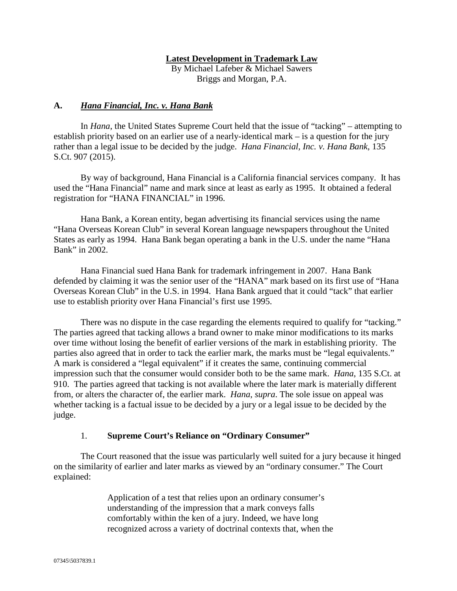#### **Latest Development in Trademark Law**

By Michael Lafeber & Michael Sawers Briggs and Morgan, P.A.

#### **A.** *Hana Financial, Inc. v. Hana Bank*

In *Hana*, the United States Supreme Court held that the issue of "tacking" – attempting to establish priority based on an earlier use of a nearly-identical mark – is a question for the jury rather than a legal issue to be decided by the judge. *Hana Financial, Inc. v. Hana Bank*, 135 S.Ct. 907 (2015).

By way of background, Hana Financial is a California financial services company. It has used the "Hana Financial" name and mark since at least as early as 1995. It obtained a federal registration for "HANA FINANCIAL" in 1996.

Hana Bank, a Korean entity, began advertising its financial services using the name "Hana Overseas Korean Club" in several Korean language newspapers throughout the United States as early as 1994. Hana Bank began operating a bank in the U.S. under the name "Hana Bank" in 2002.

Hana Financial sued Hana Bank for trademark infringement in 2007. Hana Bank defended by claiming it was the senior user of the "HANA" mark based on its first use of "Hana Overseas Korean Club" in the U.S. in 1994. Hana Bank argued that it could "tack" that earlier use to establish priority over Hana Financial's first use 1995.

There was no dispute in the case regarding the elements required to qualify for "tacking." The parties agreed that tacking allows a brand owner to make minor modifications to its marks over time without losing the benefit of earlier versions of the mark in establishing priority. The parties also agreed that in order to tack the earlier mark, the marks must be "legal equivalents." A mark is considered a "legal equivalent" if it creates the same, continuing commercial impression such that the consumer would consider both to be the same mark. *Hana*, 135 S.Ct. at 910. The parties agreed that tacking is not available where the later mark is materially different from, or alters the character of, the earlier mark. *Hana*, *supra*. The sole issue on appeal was whether tacking is a factual issue to be decided by a jury or a legal issue to be decided by the judge.

#### 1. **Supreme Court's Reliance on "Ordinary Consumer"**

The Court reasoned that the issue was particularly well suited for a jury because it hinged on the similarity of earlier and later marks as viewed by an "ordinary consumer." The Court explained:

> Application of a test that relies upon an ordinary consumer's understanding of the impression that a mark conveys falls comfortably within the ken of a jury. Indeed, we have long recognized across a variety of doctrinal contexts that, when the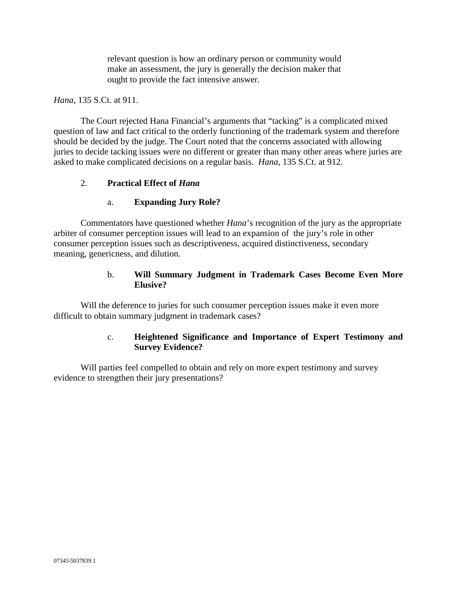relevant question is how an ordinary person or community would make an assessment, the jury is generally the decision maker that ought to provide the fact intensive answer.

#### *Hana*, 135 S.Ct. at 911.

The Court rejected Hana Financial's arguments that "tacking" is a complicated mixed question of law and fact critical to the orderly functioning of the trademark system and therefore should be decided by the judge. The Court noted that the concerns associated with allowing juries to decide tacking issues were no different or greater than many other areas where juries are asked to make complicated decisions on a regular basis. *Hana*, 135 S.Ct. at 912.

#### 2. **Practical Effect of** *Hana*

# a. **Expanding Jury Role?**

Commentators have questioned whether *Hana*'s recognition of the jury as the appropriate arbiter of consumer perception issues will lead to an expansion of the jury's role in other consumer perception issues such as descriptiveness, acquired distinctiveness, secondary meaning, genericness, and dilution.

# b. **Will Summary Judgment in Trademark Cases Become Even More Elusive?**

Will the deference to juries for such consumer perception issues make it even more difficult to obtain summary judgment in trademark cases?

# c. **Heightened Significance and Importance of Expert Testimony and Survey Evidence?**

Will parties feel compelled to obtain and rely on more expert testimony and survey evidence to strengthen their jury presentations?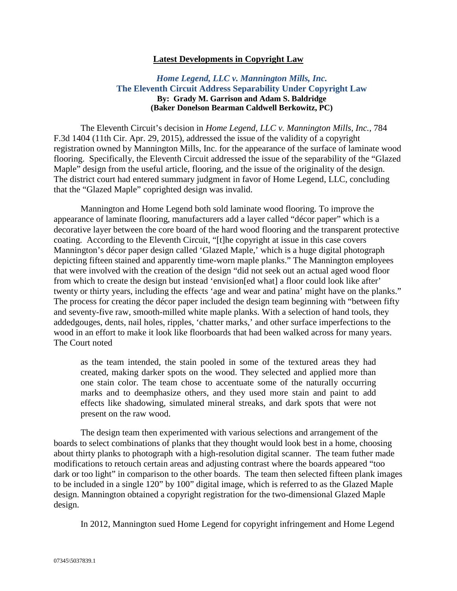#### **Latest Developments in Copyright Law**

#### *Home Legend, LLC v. Mannington Mills, Inc.* **The Eleventh Circuit Address Separability Under Copyright Law By: Grady M. Garrison and Adam S. Baldridge (Baker Donelson Bearman Caldwell Berkowitz, PC)**

The Eleventh Circuit's decision in *Home Legend, LLC v. Mannington Mills, Inc.*, 784 F.3d 1404 (11th Cir. Apr. 29, 2015), addressed the issue of the validity of a copyright registration owned by Mannington Mills, Inc. for the appearance of the surface of laminate wood flooring. Specifically, the Eleventh Circuit addressed the issue of the separability of the "Glazed Maple" design from the useful article, flooring, and the issue of the originality of the design. The district court had entered summary judgment in favor of Home Legend, LLC, concluding that the "Glazed Maple" coprighted design was invalid.

Mannington and Home Legend both sold laminate wood flooring. To improve the appearance of laminate flooring, manufacturers add a layer called "décor paper" which is a decorative layer between the core board of the hard wood flooring and the transparent protective coating. According to the Eleventh Circuit, "[t]he copyright at issue in this case covers Mannington's décor paper design called 'Glazed Maple,' which is a huge digital photograph depicting fifteen stained and apparently time-worn maple planks." The Mannington employees that were involved with the creation of the design "did not seek out an actual aged wood floor from which to create the design but instead 'envision[ed what] a floor could look like after' twenty or thirty years, including the effects 'age and wear and patina' might have on the planks." The process for creating the décor paper included the design team beginning with "between fifty and seventy-five raw, smooth-milled white maple planks. With a selection of hand tools, they addedgouges, dents, nail holes, ripples, 'chatter marks,' and other surface imperfections to the wood in an effort to make it look like floorboards that had been walked across for many years. The Court noted

as the team intended, the stain pooled in some of the textured areas they had created, making darker spots on the wood. They selected and applied more than one stain color. The team chose to accentuate some of the naturally occurring marks and to deemphasize others, and they used more stain and paint to add effects like shadowing, simulated mineral streaks, and dark spots that were not present on the raw wood.

The design team then experimented with various selections and arrangement of the boards to select combinations of planks that they thought would look best in a home, choosing about thirty planks to photograph with a high-resolution digital scanner. The team futher made modifications to retouch certain areas and adjusting contrast where the boards appeared "too dark or too light" in comparison to the other boards. The team then selected fifteen plank images to be included in a single 120" by 100" digital image, which is referred to as the Glazed Maple design. Mannington obtained a copyright registration for the two-dimensional Glazed Maple design.

In 2012, Mannington sued Home Legend for copyright infringement and Home Legend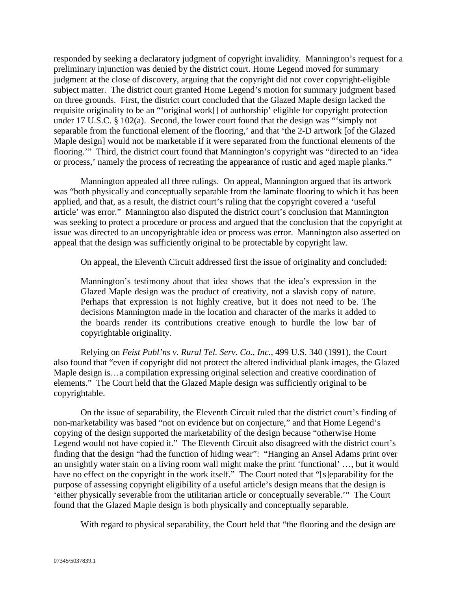responded by seeking a declaratory judgment of copyright invalidity. Mannington's request for a preliminary injunction was denied by the district court. Home Legend moved for summary judgment at the close of discovery, arguing that the copyright did not cover copyright-eligible subject matter. The district court granted Home Legend's motion for summary judgment based on three grounds. First, the district court concluded that the Glazed Maple design lacked the requisite originality to be an "'original work[] of authorship' eligible for copyright protection under 17 U.S.C. § 102(a). Second, the lower court found that the design was "'simply not separable from the functional element of the flooring,' and that 'the 2-D artwork [of the Glazed Maple design] would not be marketable if it were separated from the functional elements of the flooring.'" Third, the district court found that Mannington's copyright was "directed to an 'idea or process,' namely the process of recreating the appearance of rustic and aged maple planks."

Mannington appealed all three rulings. On appeal, Mannington argued that its artwork was "both physically and conceptually separable from the laminate flooring to which it has been applied, and that, as a result, the district court's ruling that the copyright covered a 'useful article' was error." Mannington also disputed the district court's conclusion that Mannington was seeking to protect a procedure or process and argued that the conclusion that the copyright at issue was directed to an uncopyrightable idea or process was error. Mannington also asserted on appeal that the design was sufficiently original to be protectable by copyright law.

On appeal, the Eleventh Circuit addressed first the issue of originality and concluded:

Mannington's testimony about that idea shows that the idea's expression in the Glazed Maple design was the product of creativity, not a slavish copy of nature. Perhaps that expression is not highly creative, but it does not need to be. The decisions Mannington made in the location and character of the marks it added to the boards render its contributions creative enough to hurdle the low bar of copyrightable originality.

Relying on *Feist Publ'ns v. Rural Tel. Serv. Co., Inc.*, 499 U.S. 340 (1991), the Court also found that "even if copyright did not protect the altered individual plank images, the Glazed Maple design is…a compilation expressing original selection and creative coordination of elements." The Court held that the Glazed Maple design was sufficiently original to be copyrightable.

On the issue of separability, the Eleventh Circuit ruled that the district court's finding of non-marketability was based "not on evidence but on conjecture," and that Home Legend's copying of the design supported the marketability of the design because "otherwise Home Legend would not have copied it." The Eleventh Circuit also disagreed with the district court's finding that the design "had the function of hiding wear": "Hanging an Ansel Adams print over an unsightly water stain on a living room wall might make the print 'functional' …, but it would have no effect on the copyright in the work itself." The Court noted that "[s]eparability for the purpose of assessing copyright eligibility of a useful article's design means that the design is 'either physically severable from the utilitarian article or conceptually severable.'" The Court found that the Glazed Maple design is both physically and conceptually separable.

With regard to physical separability, the Court held that "the flooring and the design are